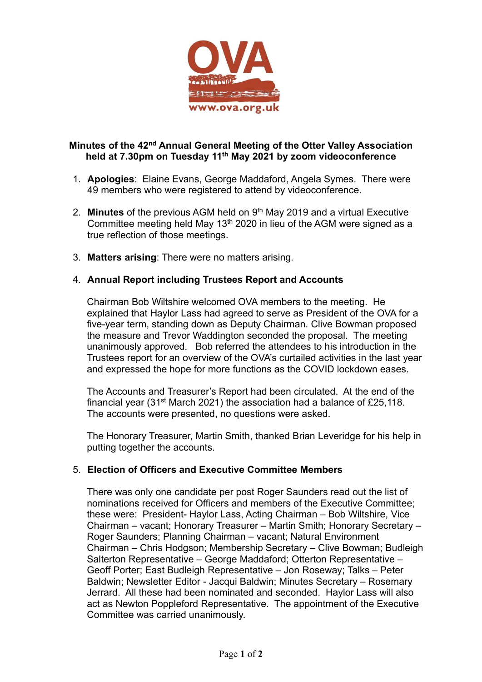

#### Minutes of the 42nd Annual General Meeting of the Otter Valley Association held at 7.30pm on Tuesday 11<sup>th</sup> May 2021 by zoom videoconference

- 1. Apologies: Elaine Evans, George Maddaford, Angela Symes. There were 49 members who were registered to attend by videoconference.
- 2. **Minutes** of the previous AGM held on  $9<sup>th</sup>$  May 2019 and a virtual Executive Committee meeting held May 13<sup>th</sup> 2020 in lieu of the AGM were signed as a true reflection of those meetings.
- 3. Matters arising: There were no matters arising.

## 4. Annual Report including Trustees Report and Accounts

Chairman Bob Wiltshire welcomed OVA members to the meeting. He explained that Haylor Lass had agreed to serve as President of the OVA for a five-year term, standing down as Deputy Chairman. Clive Bowman proposed the measure and Trevor Waddington seconded the proposal. The meeting unanimously approved. Bob referred the attendees to his introduction in the Trustees report for an overview of the OVA's curtailed activities in the last year and expressed the hope for more functions as the COVID lockdown eases.

The Accounts and Treasurer's Report had been circulated. At the end of the financial year (31st March 2021) the association had a balance of £25,118. The accounts were presented, no questions were asked.

The Honorary Treasurer, Martin Smith, thanked Brian Leveridge for his help in putting together the accounts.

# 5. Election of Officers and Executive Committee Members

There was only one candidate per post Roger Saunders read out the list of nominations received for Officers and members of the Executive Committee; these were: President- Haylor Lass, Acting Chairman – Bob Wiltshire, Vice Chairman – vacant; Honorary Treasurer – Martin Smith; Honorary Secretary – Roger Saunders; Planning Chairman – vacant; Natural Environment Chairman – Chris Hodgson; Membership Secretary – Clive Bowman; Budleigh Salterton Representative – George Maddaford; Otterton Representative – Geoff Porter; East Budleigh Representative – Jon Roseway; Talks – Peter Baldwin; Newsletter Editor - Jacqui Baldwin; Minutes Secretary – Rosemary Jerrard. All these had been nominated and seconded. Haylor Lass will also act as Newton Poppleford Representative. The appointment of the Executive Committee was carried unanimously.